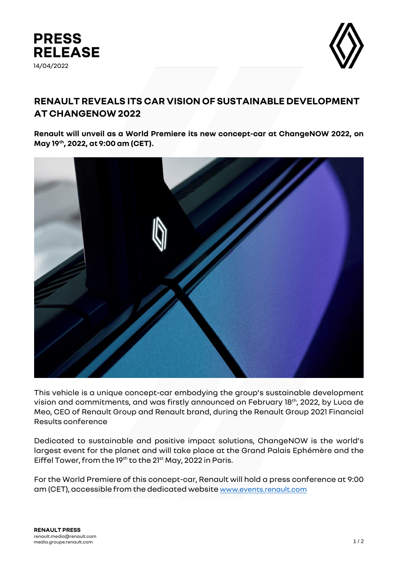



## **RENAULT REVEALS ITS CAR VISION OF SUSTAINABLE DEVELOPMENT AT CHANGENOW 2022**

**Renault will unveil as a World Premiere its new concept-car at ChangeNOW 2022, on May 19th, 2022, at 9:00 am (CET).** 



This vehicle is a unique concept-car embodying the group's sustainable development vision and commitments, and was firstly announced on February 18th, 2022, by Luca de Meo, CEO of Renault Group and Renault brand, during the Renault Group 2021 Financial Results conference

Dedicated to sustainable and positive impact solutions, ChangeNOW is the world's largest event for the planet and will take place at the Grand Palais Ephémère and the Eiffel Tower, from the 19th to the 21<sup>st</sup> May, 2022 in Paris.

For the World Premiere of this concept-car, Renault will hold a press conference at 9:00 am (CET), accessible from the dedicated website [www.events.renault.com](https://events.renault.com/en/?utm_source=Site+Media&utm_medium=Media&utm_campaign=ZHCB+Change+Now&utm_id=ZHCB+Change+Now)